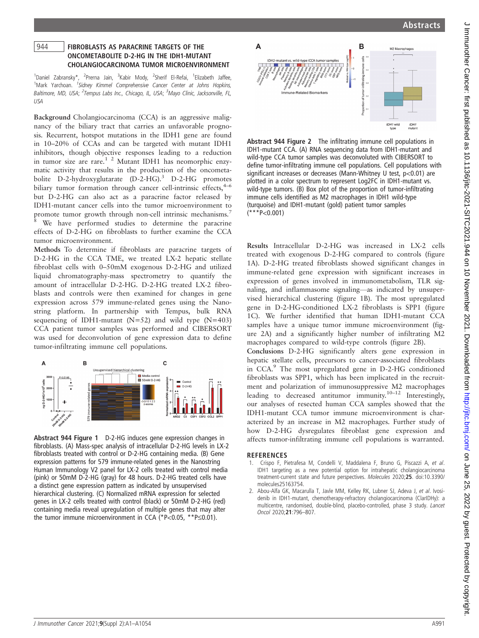## 944 FIBROBLASTS AS PARACRINE TARGETS OF THE<br>ONCOMETABOLITE D-2-HG IN THE IDH1-MUTANT CHOLANGIOCARCINOMA TUMOR MICROENVIRONMENT

1<br>
<sup>1</sup>Daniel Zabransky\*, <sup>2</sup>Prerna Jain, <sup>3</sup>Kabir Mody, <sup>2</sup>Sherif El-Refai, <sup>1</sup>Elizabeth Jaffee, <sup>1</sup>Mark Yarchoan. <sup>1</sup>Sidney Kimmel Comprehensive Cancer Center at Johns Hopkins, Baltimore, MD, USA; <sup>2</sup>Tempus Labs Inc., Chicago, IL, USA; <sup>3</sup>Mayo Clinic, Jacksonville, FL, USA

Background Cholangiocarcinoma (CCA) is an aggressive malignancy of the biliary tract that carries an unfavorable prognosis. Recurrent, hotspot mutations in the IDH1 gene are found in 10–20% of CCAs and can be targeted with mutant IDH1 inhibitors, though objective responses leading to a reduction in tumor size are rare.1 2 Mutant IDH1 has neomorphic enzymatic activity that results in the production of the oncometabolite D-2-hydroxyglutarate (D-2-HG).<sup>3</sup> D-2-HG promotes biliary tumor formation through cancer cell-intrinsic effects, $4-6$ but D-2-HG can also act as a paracrine factor released by IDH1-mutant cancer cells into the tumor microenvironment to promote tumor growth through non-cell intrinsic mechanisms.<sup>7</sup> We have performed studies to determine the paracrine effects of D-2-HG on fibroblasts to further examine the CCA tumor microenvironment.

Methods To determine if fibroblasts are paracrine targets of D-2-HG in the CCA TME, we treated LX-2 hepatic stellate fibroblast cells with 0–50mM exogenous D-2-HG and utilized liquid chromatography-mass spectrometry to quantify the amount of intracellular D-2-HG. D-2-HG treated LX-2 fibroblasts and controls were then examined for changes in gene expression across 579 immune-related genes using the Nanostring platform. In partnership with Tempus, bulk RNA sequencing of IDH1-mutant ( $N=52$ ) and wild type ( $N=403$ ) CCA patient tumor samples was performed and CIBERSORT was used for deconvolution of gene expression data to define tumor-infiltrating immune cell populations.



Abstract 944 Figure 1 D-2-HG induces gene expression changes in fibroblasts. (A) Mass-spec analysis of intracellular D-2-HG levels in LX-2 fibroblasts treated with control or D-2-HG containing media. (B) Gene expression patterns for 579 immune-related genes in the Nanostring Human Immunology V2 panel for LX-2 cells treated with control media (pink) or 50mM D-2-HG (gray) for 48 hours. D-2-HG treated cells have a distinct gene expression pattern as indicated by unsupervised hierarchical clustering. (C) Normalized mRNA expression for selected genes in LX-2 cells treated with control (black) or 50mM D-2-HG (red) containing media reveal upregulation of multiple genes that may alter the tumor immune microenvironment in CCA (\*P<0.05, \*\*P $\leq$ 0.01).



Abstract 944 Figure 2 The infiltrating immune cell populations in IDH1-mutant CCA. (A) RNA sequencing data from IDH1-mutant and wild-type CCA tumor samples was deconvoluted with CIBERSORT to define tumor-infiltrating immune cell populations. Cell populations with significant increases or decreases (Mann-Whitney U test, p<0.01) are plotted in a color spectrum to represent Log2FC in IDH1-mutant vs. wild-type tumors. (B) Box plot of the proportion of tumor-infiltrating immune cells identified as M2 macrophages in IDH1 wild-type (turquoise) and IDH1-mutant (gold) patient tumor samples  $(***P<0.001)$ 

Results Intracellular D-2-HG was increased in LX-2 cells treated with exogenous D-2-HG compared to controls (figure 1A). D-2-HG treated fibroblasts showed significant changes in immune-related gene expression with significant increases in expression of genes involved in immunometabolism, TLR signaling, and inflammasome signaling—as indicated by unsupervised hierarchical clustering (figure 1B). The most upregulated gene in D-2-HG-conditioned LX-2 fibroblasts is SPP1 (figure 1C). We further identified that human IDH1-mutant CCA samples have a unique tumor immune microenvironment (figure 2A) and a significantly higher number of infiltrating M2 macrophages compared to wild-type controls (figure 2B).

Conclusions D-2-HG significantly alters gene expression in hepatic stellate cells, precursors to cancer-associated fibroblasts in CCA.<sup>9</sup> The most upregulated gene in D-2-HG conditioned fibroblasts was SPP1, which has been implicated in the recruitment and polarization of immunosuppressive M2 macrophages leading to decreased antitumor immunity.<sup>10–12</sup> Interestingly, our analyses of resected human CCA samples showed that the IDH1-mutant CCA tumor immune microenvironment is characterized by an increase in M2 macrophages. Further study of how D-2-HG dysregulates fibroblast gene expression and affects tumor-infiltrating immune cell populations is warranted.

## **REFERENCES**

- 1. Crispo F, Pietrafesa M, Condelli V, Maddalena F, Bruno G, Piscazzi A, et al. IDH1 targeting as a new potential option for intrahepatic cholangiocarcinoma treatment-current state and future perspectives. Molecules 2020;25. doi:10.3390/ molecules25163754.
- 2. Abou-Alfa GK, Macarulla T, Javle MM, Kelley RK, Lubner SJ, Adeva J, et al. Ivosidenib in IDH1-mutant, chemotherapy-refractory cholangiocarcinoma (ClarIDHy): a multicentre, randomised, double-blind, placebo-controlled, phase 3 study. Lancet Oncol 2020;21:796–807.